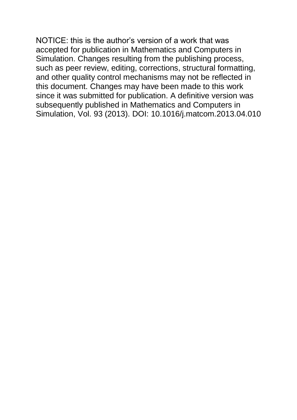NOTICE: this is the author's version of a work that was accepted for publication in Mathematics and Computers in Simulation. Changes resulting from the publishing process, such as peer review, editing, corrections, structural formatting, and other quality control mechanisms may not be reflected in this document. Changes may have been made to this work since it was submitted for publication. A definitive version was subsequently published in Mathematics and Computers in Simulation, Vol. 93 (2013). DOI: 10.1016/j.matcom.2013.04.010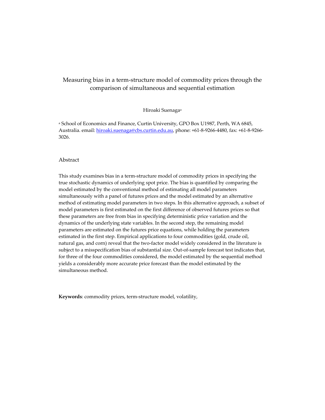# Measuring bias in a term‐structure model of commodity prices through the comparison of simultaneous and sequential estimation

#### Hiroaki Suenaga<sup>a</sup>

<sup>a</sup> School of Economics and Finance, Curtin University, GPO Box U1987, Perth, WA 6845, Australia. email: hiroaki.suenaga@cbs.curtin.edu.au, phone: +61-8-9266-4480, fax: +61-8-9266-3026.

#### Abstract

This study examines bias in a term‐structure model of commodity prices in specifying the true stochastic dynamics of underlying spot price. The bias is quantified by comparing the model estimated by the conventional method of estimating all model parameters simultaneously with a panel of futures prices and the model estimated by an alternative method of estimating model parameters in two steps. In this alternative approach, a subset of model parameters is first estimated on the first difference of observed futures prices so that these parameters are free from bias in specifying deterministic price variation and the dynamics of the underlying state variables. In the second step, the remaining model parameters are estimated on the futures price equations, while holding the parameters estimated in the first step. Empirical applications to four commodities (gold, crude oil, natural gas, and corn) reveal that the two-factor model widely considered in the literature is subject to a misspecification bias of substantial size. Out-of-sample forecast test indicates that, for three of the four commodities considered, the model estimated by the sequential method yields a considerably more accurate price forecast than the model estimated by the simultaneous method.

**Keywords**: commodity prices, term‐structure model, volatility,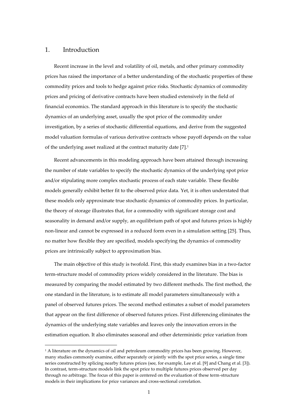# 1. Introduction

-

Recent increase in the level and volatility of oil, metals, and other primary commodity prices has raised the importance of a better understanding of the stochastic properties of these commodity prices and tools to hedge against price risks. Stochastic dynamics of commodity prices and pricing of derivative contracts have been studied extensively in the field of financial economics. The standard approach in this literature is to specify the stochastic dynamics of an underlying asset, usually the spot price of the commodity under investigation, by a series of stochastic differential equations, and derive from the suggested model valuation formulas of various derivative contracts whose payoff depends on the value of the underlying asset realized at the contract maturity date [7]. 1

Recent advancements in this modeling approach have been attained through increasing the number of state variables to specify the stochastic dynamics of the underlying spot price and/or stipulating more complex stochastic process of each state variable. These flexible models generally exhibit better fit to the observed price data. Yet, it is often understated that these models only approximate true stochastic dynamics of commodity prices. In particular, the theory of storage illustrates that, for a commodity with significant storage cost and seasonality in demand and/or supply, an equilibrium path of spot and futures prices is highly non-linear and cannot be expressed in a reduced form even in a simulation setting [25]. Thus, no matter how flexible they are specified, models specifying the dynamics of commodity prices are intrinsically subject to approximation bias.

The main objective of this study is twofold. First, this study examines bias in a two-factor term-structure model of commodity prices widely considered in the literature. The bias is measured by comparing the model estimated by two different methods. The first method, the one standard in the literature, is to estimate all model parameters simultaneously with a panel of observed futures prices. The second method estimates a subset of model parameters that appear on the first difference of observed futures prices. First differencing eliminates the dynamics of the underlying state variables and leaves only the innovation errors in the estimation equation. It also eliminates seasonal and other deterministic price variation from

<sup>&</sup>lt;sup>1</sup> A literature on the dynamics of oil and petroleum commodity prices has been growing. However, many studies commonly examine, either separately or jointly with the spot price series, a single time series constructed by splicing nearby futures prices (see, for example, Lee et al. [9] and Chang et al. [3]). In contrast, term-structure models link the spot price to multiple futures prices observed per day through no arbitrage. The focus of this paper is centered on the evaluation of these term-structure models in their implications for price variances and cross-sectional correlation.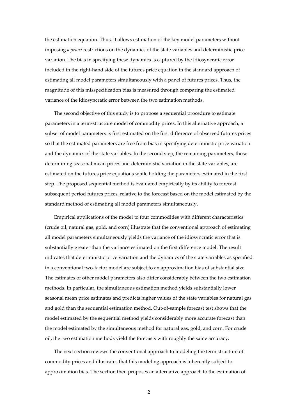the estimation equation. Thus, it allows estimation of the key model parameters without imposing *a priori* restrictions on the dynamics of the state variables and deterministic price variation. The bias in specifying these dynamics is captured by the idiosyncratic error included in the right-hand side of the futures price equation in the standard approach of estimating all model parameters simultaneously with a panel of futures prices. Thus, the magnitude of this misspecification bias is measured through comparing the estimated variance of the idiosyncratic error between the two estimation methods.

The second objective of this study is to propose a sequential procedure to estimate parameters in a term-structure model of commodity prices. In this alternative approach, a subset of model parameters is first estimated on the first difference of observed futures prices so that the estimated parameters are free from bias in specifying deterministic price variation and the dynamics of the state variables. In the second step, the remaining parameters, those determining seasonal mean prices and deterministic variation in the state variables, are estimated on the futures price equations while holding the parameters estimated in the first step. The proposed sequential method is evaluated empirically by its ability to forecast subsequent period futures prices, relative to the forecast based on the model estimated by the standard method of estimating all model parameters simultaneously.

Empirical applications of the model to four commodities with different characteristics (crude oil, natural gas, gold, and corn) illustrate that the conventional approach of estimating all model parameters simultaneously yields the variance of the idiosyncratic error that is substantially greater than the variance estimated on the first difference model. The result indicates that deterministic price variation and the dynamics of the state variables as specified in a conventional two-factor model are subject to an approximation bias of substantial size. The estimates of other model parameters also differ considerably between the two estimation methods. In particular, the simultaneous estimation method yields substantially lower seasonal mean price estimates and predicts higher values of the state variables for natural gas and gold than the sequential estimation method. Out-of-sample forecast test shows that the model estimated by the sequential method yields considerably more accurate forecast than the model estimated by the simultaneous method for natural gas, gold, and corn. For crude oil, the two estimation methods yield the forecasts with roughly the same accuracy.

The next section reviews the conventional approach to modeling the term structure of commodity prices and illustrates that this modeling approach is inherently subject to approximation bias. The section then proposes an alternative approach to the estimation of

2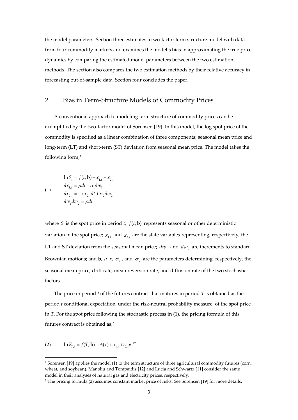the model parameters. Section three estimates a two-factor term structure model with data from four commodity markets and examines the model's bias in approximating the true price dynamics by comparing the estimated model parameters between the two estimation methods. The section also compares the two estimation methods by their relative accuracy in forecasting out-of-sample data. Section four concludes the paper.

# 2. Bias in Term-Structure Models of Commodity Prices

A conventional approach to modeling term structure of commodity prices can be exemplified by the two-factor model of Sorensen [19]. In this model, the log spot price of the commodity is specified as a linear combination of three components; seasonal mean price and long-term (LT) and short-term (ST) deviation from seasonal mean price. The model takes the following form, 2

(1)  
\n
$$
\ln S_t = f(t; \mathbf{b}) + x_{1,t} + x_{2,t}
$$
\n
$$
dx_{1,t} = \mu dt + \sigma_1 dw_1
$$
\n
$$
dx_{2,t} = -\kappa x_{2,t} dt + \sigma_2 dw_2
$$
\n
$$
dw_1 dw_2 = \rho dt
$$

where  $S_t$  is the spot price in period *t*;  $f(t; \mathbf{b})$  represents seasonal or other deterministic variation in the spot price;  $x_{1,t}$  and  $x_{2,t}$  are the state variables representing, respectively, the LT and ST deviation from the seasonal mean price;  $dw_1$  and  $dw_2$  are increments to standard Brownian motions; and **b**,  $\mu$ ,  $\kappa$ ,  $\sigma$ <sub>1</sub>, and  $\sigma$ <sub>2</sub> are the parameters determining, respectively, the seasonal mean price, drift rate, mean reversion rate, and diffusion rate of the two stochastic factors.

The price in period *t* of the futures contract that matures in period *T* is obtained as the period *t* conditional expectation, under the risk-neutral probability measure, of the spot price in *T*. For the spot price following the stochastic process in (1), the pricing formula of this futures contract is obtained as, 3

(2)  $\ln F_{T,t} = f(T; \mathbf{b}) + A(\tau) + x_{1,t} + x_{2,t} e^{-\kappa \tau}$ 

-

<sup>&</sup>lt;sup>2</sup> Sorensen [19] applies the model (1) to the term structure of three agricultural commodity futures (corn, wheat, and soybean). Manoliu and Tompaidis [12] and Lucia and Schwartz [11] consider the same model in their analyses of natural gas and electricity prices, respectively.

<sup>&</sup>lt;sup>3</sup> The pricing formula (2) assumes constant market price of risks. See Sorensen [19] for more details.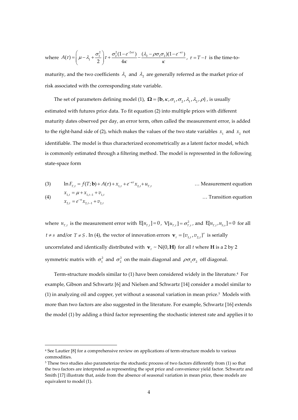where  $\tau = \left(\mu - \lambda_1 + \frac{\sigma_1^2}{2}\right)\tau + \frac{\sigma_2^2(1 - e^{-2\kappa\tau})}{4\kappa} - \frac{(\lambda_2 - \rho\sigma_1\sigma_2)(1 - e^{-\kappa\tau})}{\kappa}$  $A(\tau) = \left(\mu - \lambda_1 + \frac{\sigma_1^2}{2}\right) \tau + \frac{\sigma_2^2 (1 - e^{-2\kappa \tau})}{4\kappa} - \frac{(\lambda_2 - \rho \sigma_1 \sigma_2)(1 - e^{-\kappa \tau})}{\kappa},$  $\left(\mu-\lambda_{+}+\frac{\sigma_{1}^{2}}{r}\right)_{\tau+\sigma_{2}^{2}(1-e^{-2\kappa\tau})}-\frac{(\lambda_{2}-\rho\sigma_{1}\sigma_{2})(1-e^{-\kappa\tau})}{r}\right)$ = $\left(\mu-\lambda_1+\frac{\sigma_1^2}{2}\right)\tau+\frac{\sigma_2^2(1-e^{-2\kappa\tau})}{4\kappa}-\frac{(\lambda_2-\rho)}{2\kappa\kappa}$ ,  $\tau = T - t$  is the time-to-

maturity, and the two coefficients  $\lambda_1$  and  $\lambda_2$  are generally referred as the market price of risk associated with the corresponding state variable.

The set of parameters defining model (1),  $\mathbf{\Omega} = \{\mathbf{b}, \kappa, \sigma_1, \sigma_2, \lambda_1, \lambda_2, \rho\}$ , is usually estimated with futures price data. To fit equation (2) into multiple prices with different maturity dates observed per day, an error term, often called the measurement error, is added to the right-hand side of (2), which makes the values of the two state variables  $x_1$  and  $x_2$  not identifiable. The model is thus characterized econometrically as a latent factor model, which is commonly estimated through a filtering method. The model is represented in the following state-space form

(3) 
$$
\ln F_{T,t} = f(T; \mathbf{b}) + A(\tau) + x_{1,t} + e^{-\kappa \tau} x_{2,t} + u_{T,t}
$$
 ... Measurement equation

(4) 
$$
x_{1,t} = \mu + x_{1,t-1} + v_{1,t}
$$

$$
x_{2,t} = e^{-\kappa} x_{2,t-1} + v_{2,t}
$$
 ... Transition equation

where  $u_{T,t}$  is the measurement error with  $E[u_{T,t}] = 0$ ,  $V[u_{T,t}] = \sigma_{T,t}^2$ , and  $E[u_{T,t}, u_{S,s}] = 0$  for all  $t \neq s$  and/or  $T \neq S$ . In (4), the vector of innovation errors  $\mathbf{v}_t = \{v_{1,t}, v_{2,t}\}'$  is serially uncorrelated and identically distributed with  $\mathbf{v}_t \sim N(0, \mathbf{H})$  for all *t* where **H** is a 2 by 2 symmetric matrix with  $\sigma_1^2$  and  $\sigma_2^2$  on the main diagonal and  $\rho \sigma_1 \sigma_2$  off diagonal.

Term-structure models similar to (1) have been considered widely in the literature. 4 For example, Gibson and Schwartz [6] and Nielsen and Schwartz [14] consider a model similar to (1) in analyzing oil and copper, yet without a seasonal variation in mean price. 5 Models with more than two factors are also suggested in the literature. For example, Schwartz [16] extends the model (1) by adding a third factor representing the stochastic interest rate and applies it to

-

<sup>4</sup> See Lautier [8] for a comprehensive review on applications of term-structure models to various commodities.

<sup>5</sup> These two studies also parameterize the stochastic process of two factors differently from (1) so that the two factors are interpreted as representing the spot price and convenience yield factor. Schwartz and Smith [17] illustrate that, aside from the absence of seasonal variation in mean price, these models are equivalent to model (1).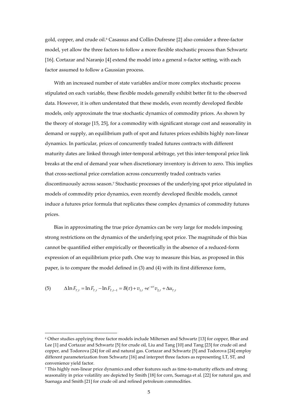gold, copper, and crude oil. <sup>6</sup> Casassus and Collin-Dufresne [2] also consider a three-factor model, yet allow the three factors to follow a more flexible stochastic process than Schwartz [16]. Cortazar and Naranjo [4] extend the model into a general *n*-factor setting, with each factor assumed to follow a Gaussian process.

With an increased number of state variables and/or more complex stochastic process stipulated on each variable, these flexible models generally exhibit better fit to the observed data. However, it is often understated that these models, even recently developed flexible models, only approximate the true stochastic dynamics of commodity prices. As shown by the theory of storage [15, 25], for a commodity with significant storage cost and seasonality in demand or supply, an equilibrium path of spot and futures prices exhibits highly non-linear dynamics. In particular, prices of concurrently traded futures contracts with different maturity dates are linked through inter-temporal arbitrage, yet this inter-temporal price link breaks at the end of demand year when discretionary inventory is driven to zero. This implies that cross-sectional price correlation across concurrently traded contracts varies discontinuously across season. <sup>7</sup> Stochastic processes of the underlying spot price stipulated in models of commodity price dynamics, even recently developed flexible models, cannot induce a futures price formula that replicates these complex dynamics of commodity futures prices.

Bias in approximating the true price dynamics can be very large for models imposing strong restrictions on the dynamics of the underlying spot price. The magnitude of this bias cannot be quantified either empirically or theoretically in the absence of a reduced-form expression of an equilibrium price path. One way to measure this bias, as proposed in this paper, is to compare the model defined in (3) and (4) with its first difference form,

(5) 
$$
\Delta \ln F_{T,t} = \ln F_{T,t} - \ln F_{T,t-1} = B(\tau) + v_{1,t} + e^{-\kappa \tau} v_{2,t} + \Delta u_{T,t}
$$

-

<sup>6</sup> Other studies applying three factor models include Miltersen and Schwartz [13] for copper, Bhar and Lee [1] and Cortazar and Schwartz [5] for crude oil, Liu and Tang [10] and Tang [23] for crude oil and copper, and Todorova [24] for oil and natural gas. Cortazar and Schwartz [5] and Todorova [24] employ different parameterization from Schwartz [16] and interpret three factors as representing LT, ST, and convenience yield factor.

<sup>7</sup> This highly non-linear price dynamics and other features such as time-to-maturity effects and strong seasonality in price volatility are depicted by Smith [18] for corn, Suenaga et al. [22] for natural gas, and Suenaga and Smith [21] for crude oil and refined petroleum commodities.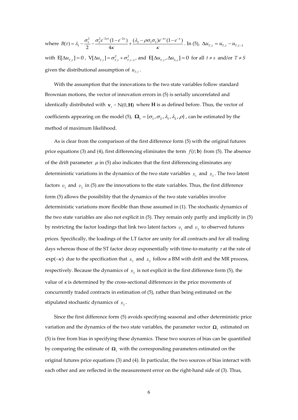where  $\tau(r) = \lambda_1 - \frac{\sigma_1^2}{2} - \frac{\sigma_2^2 e^{-2\kappa \tau} (1 - e^{-2\kappa})}{4\kappa} + \frac{(\lambda_2 - \rho \sigma_1 \sigma_2) e^{-\kappa \tau} (1 - e^{-\kappa})}{\kappa}$  $B(\tau) = \lambda_1 - \frac{\sigma_1^2}{2} - \frac{\sigma_2^2 e^{-2\kappa \tau} (1 - e^{-2\kappa})}{4\kappa} + \frac{(\lambda_2 - \rho \sigma_1 \sigma_2) e^{-\kappa \tau} (1 - e^{-\kappa})}{\kappa}$ . In (5),  $\Delta u_{T,t} = u_{T,t} - u_{T,t-1}$ with  $E[\Delta u_{T,t}] = 0$ ,  $V[\Delta u_{T,t}] = \sigma_{T,t}^2 + \sigma_{T,t-1}^2$ , and  $E[\Delta u_{T,t}, \Delta u_{S,s}] = 0$  for all  $t \neq s$  and/or  $T \neq S$ given the distributional assumption of  $u_{_{T,t}}$ .

With the assumption that the innovations to the two state variables follow standard Brownian motions, the vector of innovation errors in (5) is serially uncorrelated and identically distributed with  $v_t \sim N(0, H)$  where H is as defined before. Thus, the vector of coefficients appearing on the model (5),  $\Omega_1 = {\{\sigma_1, \sigma_2, \lambda_1, \lambda_2, \rho\}}$ , can be estimated by the method of maximum likelihood.

As is clear from the comparison of the first difference form (5) with the original futures price equations (3) and (4), first differencing eliminates the term  $f(t; \mathbf{b})$  from (5). The absence of the drift parameter  $\mu$  in (5) also indicates that the first differencing eliminates any deterministic variations in the dynamics of the two state variables  $x_1$  and  $x_2$ . The two latent factors  $v_1$  and  $v_2$  in (5) are the innovations to the state variables. Thus, the first difference form (5) allows the possibility that the dynamics of the two state variables involve deterministic variations more flexible than those assumed in (1). The stochastic dynamics of the two state variables are also not explicit in (5). They remain only partly and implicitly in (5) by restricting the factor loadings that link two latent factors  $v_1$  and  $v_2$  to observed futures prices. Specifically, the loadings of the LT factor are unity for all contracts and for all trading days whereas those of the ST factor decay exponentially with time-to-maturity  $\tau$  at the rate of  $exp(-\kappa)$  due to the specification that  $x_1$  and  $x_2$  follow a BM with drift and the MR process, respectively. Because the dynamics of  $x<sub>2</sub>$  is not explicit in the first difference form (5), the value of  $\kappa$  is determined by the cross-sectional differences in the price movements of concurrently traded contracts in estimation of (5), rather than being estimated on the stipulated stochastic dynamics of  $x_2$ .

Since the first difference form (5) avoids specifying seasonal and other deterministic price variation and the dynamics of the two state variables, the parameter vector  $\Omega_1$  estimated on (5) is free from bias in specifying these dynamics. These two sources of bias can be quantified by comparing the estimate of  $\Omega_1$  with the corresponding parameters estimated on the original futures price equations (3) and (4). In particular, the two sources of bias interact with each other and are reflected in the measurement error on the right-hand side of (3). Thus,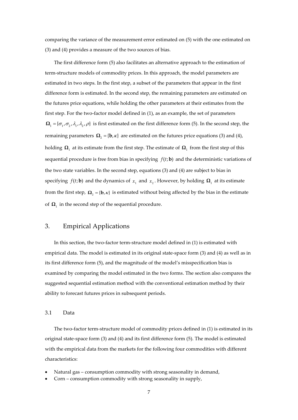comparing the variance of the measurement error estimated on (5) with the one estimated on (3) and (4) provides a measure of the two sources of bias.

The first difference form (5) also facilitates an alternative approach to the estimation of term-structure models of commodity prices. In this approach, the model parameters are estimated in two steps. In the first step, a subset of the parameters that appear in the first difference form is estimated. In the second step, the remaining parameters are estimated on the futures price equations, while holding the other parameters at their estimates from the first step. For the two-factor model defined in (1), as an example, the set of parameters  $\Omega_1 = {\sigma_1, \sigma_2, \lambda_1, \lambda_2, \rho}$  is first estimated on the first difference form (5). In the second step, the remaining parameters  $\Omega_2 = \{ \mathbf{b}, \kappa \}$  are estimated on the futures price equations (3) and (4), holding  $\Omega_1$  at its estimate from the first step. The estimate of  $\Omega_1$  from the first step of this sequential procedure is free from bias in specifying  $f(t; \mathbf{b})$  and the deterministic variations of the two state variables. In the second step, equations (3) and (4) are subject to bias in specifying  $f(t; \mathbf{b})$  and the dynamics of  $x_1$  and  $x_2$ . However, by holding  $\mathbf{\Omega}_1$  at its estimate from the first step,  $\Omega_2 = \{b, \kappa\}$  is estimated without being affected by the bias in the estimate of  $\Omega$ <sub>1</sub> in the second step of the sequential procedure.

# 3. Empirical Applications

In this section, the two-factor term-structure model defined in (1) is estimated with empirical data. The model is estimated in its original state-space form (3) and (4) as well as in its first difference form (5), and the magnitude of the model's misspecification bias is examined by comparing the model estimated in the two forms. The section also compares the suggested sequential estimation method with the conventional estimation method by their ability to forecast futures prices in subsequent periods.

#### 3.1 Data

The two-factor term-structure model of commodity prices defined in (1) is estimated in its original state-space form (3) and (4) and its first difference form (5). The model is estimated with the empirical data from the markets for the following four commodities with different characteristics:

- Natural gas consumption commodity with strong seasonality in demand,
- Corn consumption commodity with strong seasonality in supply,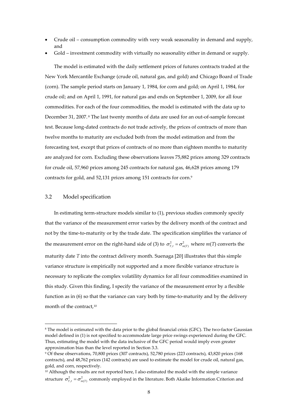- Crude oil consumption commodity with very weak seasonality in demand and supply, and
- Gold investment commodity with virtually no seasonality either in demand or supply.

The model is estimated with the daily settlement prices of futures contracts traded at the New York Mercantile Exchange (crude oil, natural gas, and gold) and Chicago Board of Trade (corn). The sample period starts on January 1, 1984, for corn and gold; on April 1, 1984, for crude oil; and on April 1, 1991, for natural gas and ends on September 1, 2009, for all four commodities. For each of the four commodities, the model is estimated with the data up to December 31, 2007. <sup>8</sup> The last twenty months of data are used for an out-of-sample forecast test. Because long-dated contracts do not trade actively, the prices of contracts of more than twelve months to maturity are excluded both from the model estimation and from the forecasting test, except that prices of contracts of no more than eighteen months to maturity are analyzed for corn. Excluding these observations leaves 75,882 prices among 329 contracts for crude oil, 57,960 prices among 245 contracts for natural gas, 46,628 prices among 179 contracts for gold, and 52,131 prices among 151 contracts for corn.<sup>9</sup>

## 3.2 Model specification

-

In estimating term-structure models similar to (1), previous studies commonly specify that the variance of the measurement error varies by the delivery month of the contract and not by the time-to-maturity or by the trade date. The specification simplifies the variance of the measurement error on the right-hand side of (3) to  $\sigma_{T,t}^2 = \sigma_{m(T)}^2$  where  $m(T)$  converts the maturity date *T* into the contract delivery month. Suenaga [20] illustrates that this simple variance structure is empirically not supported and a more flexible variance structure is necessary to replicate the complex volatility dynamics for all four commodities examined in this study. Given this finding, I specify the variance of the measurement error by a flexible function as in (6) so that the variance can vary both by time-to-maturity and by the delivery month of the contract,<sup>10</sup>

<sup>8</sup> The model is estimated with the data prior to the global financial crisis (GFC). The two-factor Gaussian model defined in (1) is not specified to accommodate large price swings experienced during the GFC. Thus, estimating the model with the data inclusive of the GFC period would imply even greater approximation bias than the level reported in Section 3.3.

<sup>9</sup> Of these observations, 70,800 prices (307 contracts), 52,780 prices (223 contracts), 43,820 prices (168 contracts), and 48,762 prices (142 contracts) are used to estimate the model for crude oil, natural gas, gold, and corn, respectively.

<sup>&</sup>lt;sup>10</sup> Although the results are not reported here, I also estimated the model with the simple variance structure  $\sigma_{T,t}^2 = \sigma_{m(T)}^2$  commonly employed in the literature. Both Akaike Information Criterion and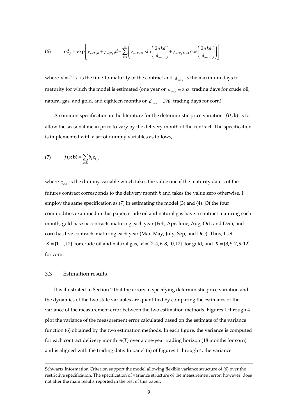(6) 
$$
\sigma_{T,t}^2 = \exp \left[ \gamma_{m(T),0} + \gamma_{m(T),1} d + \sum_{k=1}^3 \left( \gamma_{m(T),2k} \sin \left( \frac{2 \pi k d}{d_{\max}} \right) + \gamma_{m(T),2k+1} \cos \left( \frac{2 \pi k d}{d_{\max}} \right) \right) \right]
$$

where  $d = T - t$  is the time-to-maturity of the contract and  $d_{\text{max}}$  is the maximum days to maturity for which the model is estimated (one year or  $d_{\text{max}} = 252$  trading days for crude oil, natural gas, and gold, and eighteen months or  $d_{\max} = 378\,$  trading days for corn).

A common specification in the literature for the deterministic price variation  $f(t; \mathbf{b})$  is to allow the seasonal mean price to vary by the delivery month of the contract. The specification is implemented with a set of dummy variables as follows,

(7) 
$$
f(s; \mathbf{b}) = \sum_{k \in K} b_k z_{k,s}
$$

where  $z_{k,s}$  is the dummy variable which takes the value one if the maturity date  $s$  of the futures contract corresponds to the delivery month *k* and takes the value zero otherwise. I employ the same specification as (7) in estimating the model (3) and (4). Of the four commodities examined in this paper, crude oil and natural gas have a contract maturing each month, gold has six contracts maturing each year (Feb, Apr, June, Aug, Oct, and Dec), and corn has five contracts maturing each year (Mar, May, July, Sep, and Dec). Thus, I set  $K = \{1, ..., 12\}$  for crude oil and natural gas,  $K = \{2, 4, 6, 8, 10, 12\}$  for gold, and  $K = \{3, 5, 7, 9, 12\}$ for corn.

## 3.3 Estimation results

-

It is illustrated in Section 2 that the errors in specifying deterministic price variation and the dynamics of the two state variables are quantified by comparing the estimates of the variance of the measurement error between the two estimation methods. Figures 1 through 4 plot the variance of the measurement error calculated based on the estimate of the variance function (6) obtained by the two estimation methods. In each figure, the variance is computed for each contract delivery month *m*(*T*) over a one-year trading horizon (18 months for corn) and is aligned with the trading date. In panel (a) of Figures 1 through 4, the variance

Schwartz Information Criterion support the model allowing flexible variance structure of (6) over the restrictive specification. The specification of variance structure of the measurement error, however, does not alter the main results reported in the rest of this paper.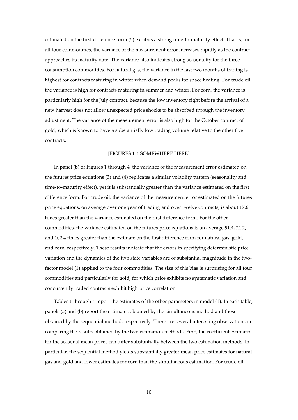estimated on the first difference form (5) exhibits a strong time-to-maturity effect. That is, for all four commodities, the variance of the measurement error increases rapidly as the contract approaches its maturity date. The variance also indicates strong seasonality for the three consumption commodities. For natural gas, the variance in the last two months of trading is highest for contracts maturing in winter when demand peaks for space heating. For crude oil, the variance is high for contracts maturing in summer and winter. For corn, the variance is particularly high for the July contract, because the low inventory right before the arrival of a new harvest does not allow unexpected price shocks to be absorbed through the inventory adjustment. The variance of the measurement error is also high for the October contract of gold, which is known to have a substantially low trading volume relative to the other five contracts.

#### [FIGURES 1-4 SOMEWHERE HERE]

In panel (b) of Figures 1 through 4, the variance of the measurement error estimated on the futures price equations (3) and (4) replicates a similar volatility pattern (seasonality and time-to-maturity effect), yet it is substantially greater than the variance estimated on the first difference form. For crude oil, the variance of the measurement error estimated on the futures price equations, on average over one year of trading and over twelve contracts, is about 17.6 times greater than the variance estimated on the first difference form. For the other commodities, the variance estimated on the futures price equations is on average 91.4, 21.2, and 102.4 times greater than the estimate on the first difference form for natural gas, gold, and corn, respectively. These results indicate that the errors in specifying deterministic price variation and the dynamics of the two state variables are of substantial magnitude in the twofactor model (1) applied to the four commodities. The size of this bias is surprising for all four commodities and particularly for gold, for which price exhibits no systematic variation and concurrently traded contracts exhibit high price correlation.

Tables 1 through 4 report the estimates of the other parameters in model (1). In each table, panels (a) and (b) report the estimates obtained by the simultaneous method and those obtained by the sequential method, respectively. There are several interesting observations in comparing the results obtained by the two estimation methods. First, the coefficient estimates for the seasonal mean prices can differ substantially between the two estimation methods. In particular, the sequential method yields substantially greater mean price estimates for natural gas and gold and lower estimates for corn than the simultaneous estimation. For crude oil,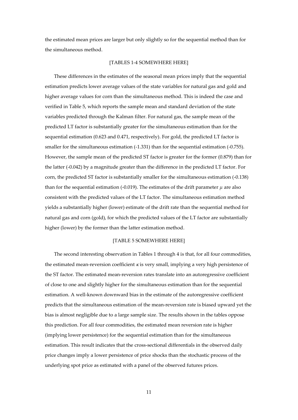the estimated mean prices are larger but only slightly so for the sequential method than for the simultaneous method.

#### [TABLES 1-4 SOMEWHERE HERE]

These differences in the estimates of the seasonal mean prices imply that the sequential estimation predicts lower average values of the state variables for natural gas and gold and higher average values for corn than the simultaneous method. This is indeed the case and verified in Table 5, which reports the sample mean and standard deviation of the state variables predicted through the Kalman filter. For natural gas, the sample mean of the predicted LT factor is substantially greater for the simultaneous estimation than for the sequential estimation (0.623 and 0.471, respectively). For gold, the predicted LT factor is smaller for the simultaneous estimation  $(-1.331)$  than for the sequential estimation  $(-0.755)$ . However, the sample mean of the predicted ST factor is greater for the former (0.879) than for the latter (-0.042) by a magnitude greater than the difference in the predicted LT factor. For corn, the predicted ST factor is substantially smaller for the simultaneous estimation (-0.138) than for the sequential estimation (-0.019). The estimates of the drift parameter  $\mu$  are also consistent with the predicted values of the LT factor. The simultaneous estimation method yields a substantially higher (lower) estimate of the drift rate than the sequential method for natural gas and corn (gold), for which the predicted values of the LT factor are substantially higher (lower) by the former than the latter estimation method.

#### [TABLE 5 SOMEWHERE HERE]

The second interesting observation in Tables 1 through 4 is that, for all four commodities, the estimated mean-reversion coefficient  $\kappa$  is very small, implying a very high persistence of the ST factor. The estimated mean-reversion rates translate into an autoregressive coefficient of close to one and slightly higher for the simultaneous estimation than for the sequential estimation. A well-known downward bias in the estimate of the autoregressive coefficient predicts that the simultaneous estimation of the mean-reversion rate is biased upward yet the bias is almost negligible due to a large sample size. The results shown in the tables oppose this prediction. For all four commodities, the estimated mean reversion rate is higher (implying lower persistence) for the sequential estimation than for the simultaneous estimation. This result indicates that the cross-sectional differentials in the observed daily price changes imply a lower persistence of price shocks than the stochastic process of the underlying spot price as estimated with a panel of the observed futures prices.

11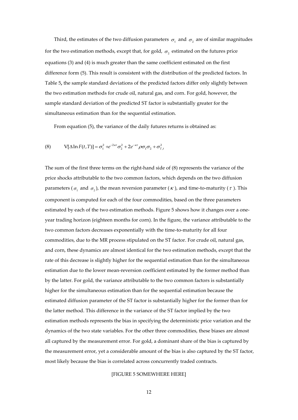Third, the estimates of the two diffusion parameters  $\sigma_{1}^{}$  and  $\sigma_{2}^{}$  are of similar magnitudes for the two estimation methods, except that, for gold,  $\sigma$ <sub>2</sub> estimated on the futures price equations (3) and (4) is much greater than the same coefficient estimated on the first difference form (5). This result is consistent with the distribution of the predicted factors. In Table 5**,** the sample standard deviations of the predicted factors differ only slightly between the two estimation methods for crude oil, natural gas, and corn. For gold, however, the sample standard deviation of the predicted ST factor is substantially greater for the simultaneous estimation than for the sequential estimation.

From equation (5), the variance of the daily futures returns is obtained as:

(8) 
$$
V[\Delta \ln F(t, T)] = \sigma_1^2 + e^{-2\kappa \tau} \sigma_2^2 + 2e^{-\kappa \tau} \rho \sigma_1 \sigma_2 + \sigma_{T,t}^2
$$

The sum of the first three terms on the right-hand side of (8) represents the variance of the price shocks attributable to the two common factors, which depends on the two diffusion parameters ( $\sigma_1$  and  $\sigma_2$ ), the mean reversion parameter ( $\kappa$ ), and time-to-maturity ( $\tau$ ). This component is computed for each of the four commodities, based on the three parameters estimated by each of the two estimation methods. Figure 5 shows how it changes over a oneyear trading horizon (eighteen months for corn). In the figure, the variance attributable to the two common factors decreases exponentially with the time-to-maturity for all four commodities, due to the MR process stipulated on the ST factor. For crude oil, natural gas, and corn, these dynamics are almost identical for the two estimation methods, except that the rate of this decrease is slightly higher for the sequential estimation than for the simultaneous estimation due to the lower mean-reversion coefficient estimated by the former method than by the latter. For gold, the variance attributable to the two common factors is substantially higher for the simultaneous estimation than for the sequential estimation because the estimated diffusion parameter of the ST factor is substantially higher for the former than for the latter method. This difference in the variance of the ST factor implied by the two estimation methods represents the bias in specifying the deterministic price variation and the dynamics of the two state variables. For the other three commodities, these biases are almost all captured by the measurement error. For gold, a dominant share of the bias is captured by the measurement error, yet a considerable amount of the bias is also captured by the ST factor, most likely because the bias is correlated across concurrently traded contracts.

#### [FIGURE 5 SOMEWHERE HERE]

12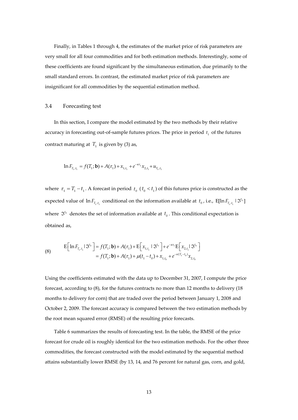Finally, in Tables 1 through 4, the estimates of the market price of risk parameters are very small for all four commodities and for both estimation methods. Interestingly, some of these coefficients are found significant by the simultaneous estimation, due primarily to the small standard errors. In contrast, the estimated market price of risk parameters are insignificant for all commodities by the sequential estimation method.

# 3.4 Forecasting test

In this section, I compare the model estimated by the two methods by their relative accuracy in forecasting out-of-sample futures prices. The price in period  $t<sub>1</sub>$  of the futures contract maturing at  $T_1$  is given by (3) as,

$$
\ln F_{T_1,t_1} = f(T_1; \mathbf{b}) + A(\tau_1) + x_{1,t_1} + e^{-\kappa \tau_1} x_{2,t_1} + u_{T_1,t_1}
$$

where  $\tau_1 = T_1 - t_1$ . A forecast in period  $t_0$  ( $t_0 < t_1$ ) of this futures price is constructed as the expected value of  $\ln F_{T_1,t_1}$  conditional on the information available at  $t_0$ , i.e.,  $E[\ln F_{T_1,t_1} | \Im^{t_0}]$ where  $\mathfrak{I}^{\mathfrak{t}_{0}}$  denotes the set of information available at  $t_{0}$ . This conditional expectation is obtained as,

(8) 
$$
E\left[\ln F_{T_1,t_1} | \mathfrak{T}^{t_0}\right] = f(T_1; \mathbf{b}) + A(\tau_1) + E\left[x_{1,t_1} | \mathfrak{T}^{t_0}\right] + e^{-\kappa \tau_1} E\left[x_{2,t_1} | \mathfrak{T}^{t_0}\right]
$$

$$
= f(T_1; \mathbf{b}) + A(\tau_1) + \mu(t_1 - t_0) + x_{1,t_0} + e^{-\kappa (T_1 - t_0)} x_{2,t_0}
$$

Using the coefficients estimated with the data up to December 31, 2007, I compute the price forecast, according to (8), for the futures contracts no more than 12 months to delivery (18 months to delivery for corn) that are traded over the period between January 1, 2008 and October 2, 2009. The forecast accuracy is compared between the two estimation methods by the root mean squared error (RMSE) of the resulting price forecasts.

Table 6 summarizes the results of forecasting test. In the table, the RMSE of the price forecast for crude oil is roughly identical for the two estimation methods. For the other three commodities, the forecast constructed with the model estimated by the sequential method attains substantially lower RMSE (by 13, 14, and 76 percent for natural gas, corn, and gold,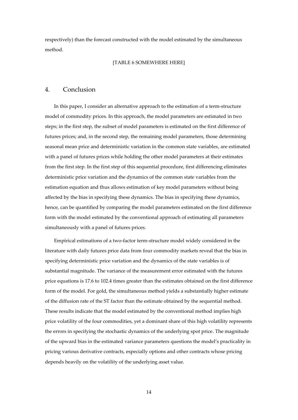respectively) than the forecast constructed with the model estimated by the simultaneous method.

### [TABLE 6 SOMEWHERE HERE]

# 4. Conclusion

In this paper, I consider an alternative approach to the estimation of a term-structure model of commodity prices. In this approach, the model parameters are estimated in two steps; in the first step, the subset of model parameters is estimated on the first difference of futures prices; and, in the second step, the remaining model parameters, those determining seasonal mean price and deterministic variation in the common state variables, are estimated with a panel of futures prices while holding the other model parameters at their estimates from the first step. In the first step of this sequential procedure, first differencing eliminates deterministic price variation and the dynamics of the common state variables from the estimation equation and thus allows estimation of key model parameters without being affected by the bias in specifying these dynamics. The bias in specifying these dynamics, hence, can be quantified by comparing the model parameters estimated on the first difference form with the model estimated by the conventional approach of estimating all parameters simultaneously with a panel of futures prices.

Empirical estimations of a two-factor term-structure model widely considered in the literature with daily futures price data from four commodity markets reveal that the bias in specifying deterministic price variation and the dynamics of the state variables is of substantial magnitude. The variance of the measurement error estimated with the futures price equations is 17.6 to 102.4 times greater than the estimates obtained on the first difference form of the model. For gold, the simultaneous method yields a substantially higher estimate of the diffusion rate of the ST factor than the estimate obtained by the sequential method. These results indicate that the model estimated by the conventional method implies high price volatility of the four commodities, yet a dominant share of this high volatility represents the errors in specifying the stochastic dynamics of the underlying spot price. The magnitude of the upward bias in the estimated variance parameters questions the model's practicality in pricing various derivative contracts, especially options and other contracts whose pricing depends heavily on the volatility of the underlying asset value.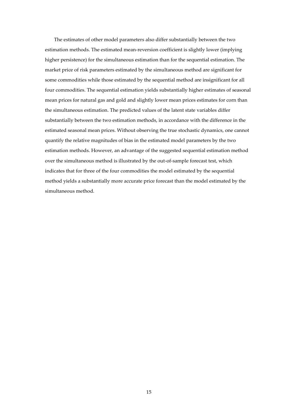The estimates of other model parameters also differ substantially between the two estimation methods. The estimated mean-reversion coefficient is slightly lower (implying higher persistence) for the simultaneous estimation than for the sequential estimation. The market price of risk parameters estimated by the simultaneous method are significant for some commodities while those estimated by the sequential method are insignificant for all four commodities. The sequential estimation yields substantially higher estimates of seasonal mean prices for natural gas and gold and slightly lower mean prices estimates for corn than the simultaneous estimation. The predicted values of the latent state variables differ substantially between the two estimation methods, in accordance with the difference in the estimated seasonal mean prices. Without observing the true stochastic dynamics, one cannot quantify the relative magnitudes of bias in the estimated model parameters by the two estimation methods. However, an advantage of the suggested sequential estimation method over the simultaneous method is illustrated by the out-of-sample forecast test, which indicates that for three of the four commodities the model estimated by the sequential method yields a substantially more accurate price forecast than the model estimated by the simultaneous method.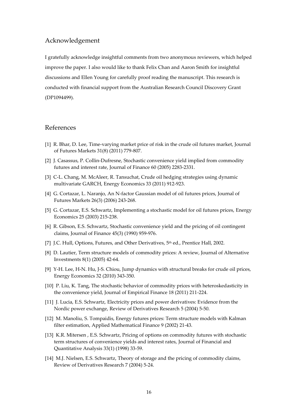# Acknowledgement

I gratefully acknowledge insightful comments from two anonymous reviewers, which helped improve the paper. I also would like to thank Felix Chan and Aaron Smith for insightful discussions and Ellen Young for carefully proof reading the manuscript. This research is conducted with financial support from the Australian Research Council Discovery Grant (DP1094499).

## References

- [1] R. Bhar, D. Lee, Time-varying market price of risk in the crude oil futures market, Journal of Futures Markets 31(8) (2011) 779-807.
- [2] J. Casassus, P. Collin-Dufresne, Stochastic convenience yield implied from commodity futures and interest rate, Journal of Finance 60 (2005) 2283-2331.
- [3] C-L. Chang, M. McAleer, R. Tansuchat, Crude oil hedging strategies using dynamic multivariate GARCH, Energy Economics 33 (2011) 912-923.
- [4] G. Cortazar, L. Naranjo, An N-factor Gaussian model of oil futures prices, Journal of Futures Markets 26(3) (2006) 243-268.
- [5] G. Cortazar, E.S. Schwartz, Implementing a stochastic model for oil futures prices, Energy Economics 25 (2003) 215-238.
- [6] R. Gibson, E.S. Schwartz, Stochastic convenience yield and the pricing of oil contingent claims, Journal of Finance 45(3) (1990) 959-976.
- [7] J.C. Hull, Options, Futures, and Other Derivatives, 5<sup>th</sup> ed., Prentice Hall, 2002.
- [8] D. Lautier, Term structure models of commodity prices: A review, Journal of Alternative Investments 8(1) (2005) 42-64.
- [9] Y-H. Lee, H-N. Hu, J-S. Chiou, Jump dynamics with structural breaks for crude oil prices, Energy Economics 32 (2010) 343-350.
- [10] P. Liu, K. Tang, The stochastic behavior of commodity prices with heteroskedasticity in the convenience yield, Journal of Empirical Finance 18 (2011) 211-224.
- [11] J. Lucia, E.S. Schwartz, Electricity prices and power derivatives: Evidence from the Nordic power exchange, Review of Derivatives Research 5 (2004) 5-50.
- [12] M. Manoliu, S. Tompaidis, Energy futures prices: Term structure models with Kalman filter estimation, Applied Mathematical Finance 9 (2002) 21-43.
- [13] K.R. Mitersen , E.S. Schwartz, Pricing of options on commodity futures with stochastic term structures of convenience yields and interest rates, Journal of Financial and Quantitative Analysis 33(1) (1998) 33-59.
- [14] M.J. Nielsen, E.S. Schwartz, Theory of storage and the pricing of commodity claims, Review of Derivatives Research 7 (2004) 5-24.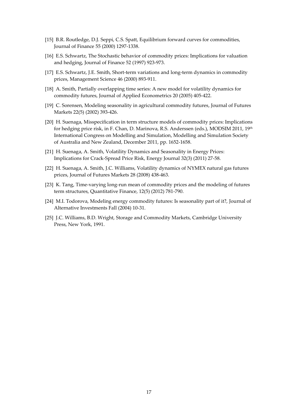- [15] B.R. Routledge, D.J. Seppi, C.S. Spatt, Equilibrium forward curves for commodities, Journal of Finance 55 (2000) 1297-1338.
- [16] E.S. Schwartz, The Stochastic behavior of commodity prices: Implications for valuation and hedging, Journal of Finance 52 (1997) 923-973.
- [17] E.S. Schwartz, J.E. Smith, Short-term variations and long-term dynamics in commodity prices, Management Science 46 (2000) 893-911.
- [18] A. Smith, Partially overlapping time series: A new model for volatility dynamics for commodity futures, Journal of Applied Econometrics 20 (2005) 405-422.
- [19] C. Sorensen, Modeling seasonality in agricultural commodity futures, Journal of Futures Markets 22(5) (2002) 393-426.
- [20] H. Suenaga, Misspecification in term structure models of commodity prices: Implications for hedging price risk, in F. Chan, D. Marinova, R.S. Anderssen (eds.), MODSIM 2011, 19th International Congress on Modelling and Simulation, Modelling and Simulation Society of Australia and New Zealand, December 2011, pp. 1652-1658.
- [21] H. Suenaga, A. Smith, Volatility Dynamics and Seasonality in Energy Prices: Implications for Crack-Spread Price Risk, Energy Journal 32(3) (2011) 27-58.
- [22] H. Suenaga, A. Smith, J.C. Williams, Volatility dynamics of NYMEX natural gas futures prices, Journal of Futures Markets 28 (2008) 438-463.
- [23] K. Tang, Time-varying long-run mean of commodity prices and the modeling of futures term structures, Quantitative Finance, 12(5) (2012) 781-790.
- [24] M.I. Todorova, Modeling energy commodity futures: Is seasonality part of it?, Journal of Alternative Investments Fall (2004) 10-31.
- [25] J.C. Williams, B.D. Wright, Storage and Commodity Markets, Cambridge University Press, New York, 1991.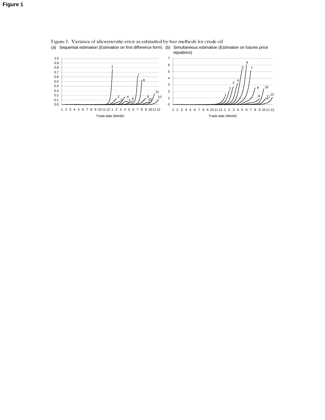

Figure 1. Variance of idiosyncratic error as estimated by two methods for crude oil (a) Sequential estimation (Estimation on first difference form) (b) Simultaneous estimation (Estimation on futures price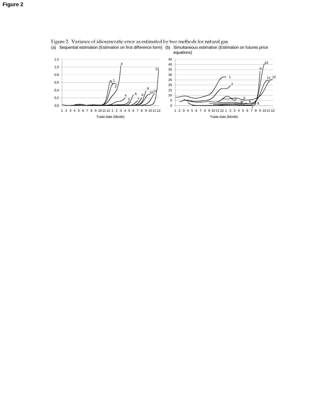

Figure 2. Variance of idiosyncratic error as estimated by two methods for natural gas (a) Sequential estimation (Estimation on first difference form) (b) Simultaneous estimation (Estimation on futures price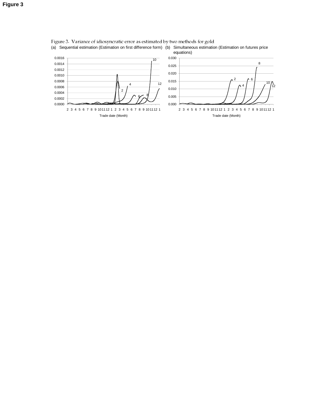

Figure 3. Variance of idiosyncratic error as estimated by two methods for gold (a) Sequential estimation (Estimation on first difference form) (b) Simultaneous estimation (Estimation on futures price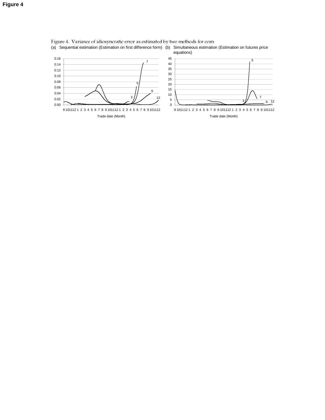

Figure 4. Variance of idiosyncratic error as estimated by two methods for corn (a) Sequential estimation (Estimation on first difference form) (b) Simultaneous estimation (Estimation on futures price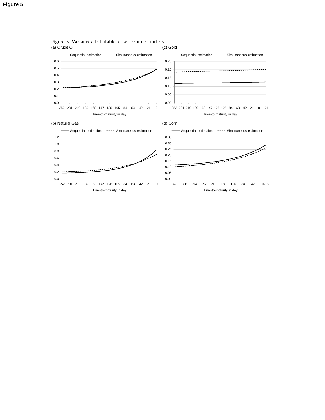

Figure 5. Variance attributable to two common factors (a) Crude Oil (c) Gold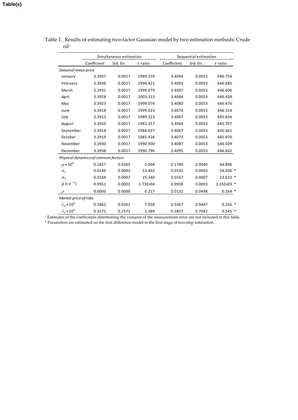|                           | Simultaneous estimation             |           |            | Sequential estimation |           |            |
|---------------------------|-------------------------------------|-----------|------------|-----------------------|-----------|------------|
|                           | Coefficient                         | Srd. Err. | $t$ -ratio | Coefficient           | Srd. Err. | $t$ -ratio |
| Seasonal mean price       |                                     |           |            |                       |           |            |
| January                   | 3.3937                              | 0.0017    | 1989.319   | 3.4094                | 0.0053    | 646.754    |
| February                  | 3.3936                              | 0.0017    | 1996.421   | 3.4093                | 0.0053    | 646.685    |
| March                     | 3.3931                              | 0.0017    | 1999.079   | 3.4087                | 0.0053    | 646.606    |
| April                     | 3.3928                              | 0.0017    | 2003.313   | 3.4084                | 0.0053    | 646.434    |
| May                       | 3.3923                              | 0.0017    | 1999.074   | 3.4080                | 0.0053    | 646.476    |
| June                      | 3.3918                              | 0.0017    | 1999.023   | 3.4074                | 0.0053    | 646.314    |
| July                      | 3.3913                              | 0.0017    | 1989.323   | 3.4067                | 0.0053    | 645.834    |
| August                    | 3.3910                              | 0.0017    | 1982.357   | 3.4064                | 0.0053    | 645.707    |
| September                 | 3.3914                              | 0.0017    | 1984.037   | 3.4067                | 0.0053    | 645.661    |
| October                   | 3.3919                              | 0.0017    | 1985.926   | 3.4073                | 0.0053    | 645.970    |
| November                  | 3.3930                              | 0.0017    | 1990.900   | 3.4087                | 0.0053    | 646.509    |
| December                  | 3.3938                              | 0.0017    | 1990.796   | 3.4095                | 0.0053    | 646.662    |
|                           | Physical dynamics of common factors |           |            |                       |           |            |
| $\mu \times 10^4$         | 0.1827                              | 0.0365    | 5.004      | 0.1780                | 0.0040    | 44.896     |
| $\sigma_1$                | 0.0140                              | 0.0003    | 53.492     | 0.0142                | 0.0003    | 54.206 *   |
| $\sigma_2$                | 0.0169                              | 0.0007    | 25.340     | 0.0167                | 0.0007    | 23.622 *   |
| $\phi$ (= $e^{-\kappa}$ ) | 0.9951                              | 0.0001    | 1.73E+04   | 0.9938                | 0.0003    | 3.35E+03 * |
| $\rho$                    | 0.0000                              | 0.0000    | 0.217      | 0.0132                | 0.0498    | $0.264$ *  |
| Market price of risks     |                                     |           |            |                       |           |            |
| $\lambda_1 \times 10^4$   | 0.2862                              | 0.0361    | 7.928      | 0.3367                | 0.9447    | $0.356$ *  |
| $\lambda_2 \times 10^4$   | 0.3571                              | 0.2572    | 1.389      | 0.3857                | 0.7082    | $0.545*$   |

Table 1. Results of estimating two-factor Gaussian model by two estimation methods: Crude oil<sup>+</sup>

<sup>+</sup> Estimates of the coefficients determining the variance of the measurement error are not included in this table.

\* Parameters are estimated on the first difference model in the first stage of two-step estimation.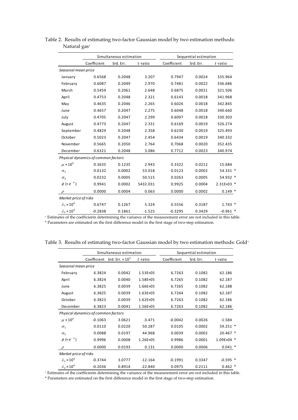|                           |                                     | Simultaneous estimation |            | Sequential estimation |           |              |
|---------------------------|-------------------------------------|-------------------------|------------|-----------------------|-----------|--------------|
|                           | Coefficient                         | Srd. Err.               | $t$ -ratio | Coefficient           | Srd. Err. | $t$ -ratio   |
| Seasonal mean price       |                                     |                         |            |                       |           |              |
| January                   | 0.6568                              | 0.2048                  | 3.207      | 0.7947                | 0.0024    | 335.964      |
| February                  | 0.6087                              | 0.2049                  | 2.970      | 0.7481                | 0.0022    | 336.686      |
| March                     | 0.5459                              | 0.2061                  | 2.648      | 0.6875                | 0.0021    | 321.506      |
| April                     | 0.4753                              | 0.2048                  | 2.321      | 0.6143                | 0.0018    | 341.968      |
| May                       | 0.4635                              | 0.2046                  | 2.265      | 0.6026                | 0.0018    | 342.845      |
| June                      | 0.4657                              | 0.2047                  | 2.275      | 0.6048                | 0.0018    | 340.660      |
| July                      | 0.4705                              | 0.2047                  | 2.299      | 0.6097                | 0.0018    | 330.303      |
| August                    | 0.4773                              | 0.2047                  | 2.331      | 0.6169                | 0.0019    | 326.274      |
| September                 | 0.4829                              | 0.2048                  | 2.358      | 0.6230                | 0.0019    | 325.493      |
| October                   | 0.5023                              | 0.2047                  | 2.454      | 0.6434                | 0.0019    | 340.332      |
| November                  | 0.5665                              | 0.2050                  | 2.764      | 0.7068                | 0.0020    | 352.435      |
| December                  | 0.6321                              | 0.2048                  | 3.086      | 0.7712                | 0.0023    | 340.974      |
|                           | Physical dynamics of common factors |                         |            |                       |           |              |
| $\mu \times 10^4$         | 0.3635                              | 0.1235                  | 2.943      | 0.3322                | 0.0212    | 15.684       |
| $\sigma_1$                | 0.0132                              | 0.0002                  | 53.018     | 0.0123                | 0.0002    | 54.331 *     |
| $\sigma_2$                | 0.0232                              | 0.0005                  | 50.515     | 0.0263                | 0.0005    | 54.932 *     |
| $\phi$ (= $e^{-\kappa}$ ) | 0.9941                              | 0.0002                  | 5432.031   | 0.9925                | 0.0004    | $2.31E+03$ * |
| $\rho$                    | 0.0000                              | 0.0004                  | 0.063      | 0.0000                | 0.0002    | $0.149*$     |
| Market price of risks     |                                     |                         |            |                       |           |              |
| $\lambda_1 \times 10^4$   | 0.6747                              | 0.1267                  | 5.324      | 0.5556                | 0.3187    | $1.743*$     |
| $\lambda_2 \times 10^4$   | $-0.2838$                           | 0.1861                  | $-1.525$   | $-0.3295$             | 0.3429    | $-0.961$ *   |

Table 2. Results of estimating two-factor Gaussian model by two estimation methods: Natural gas<sup>+</sup>

<sup>+</sup> Estimates of the coefficients determining the variance of the measurement error are not included in this table.

\* Parameters are estimated on the first difference model in the first stage of two-step estimation.

|  | Table 3. Results of estimating two-factor Gaussian model by two estimation methods: Gold <sup>+</sup> |  |  |  |  |
|--|-------------------------------------------------------------------------------------------------------|--|--|--|--|
|  |                                                                                                       |  |  |  |  |

|                                          |                                     | Simultaneous estimation                        |            |             | Sequential estimation |                |  |
|------------------------------------------|-------------------------------------|------------------------------------------------|------------|-------------|-----------------------|----------------|--|
|                                          |                                     | Coefficient Srd. Err. $\times$ 10 <sup>2</sup> | $t$ -ratio | Coefficient | Srd. Err.             | $t$ -ratio     |  |
| Seasonal mean price                      |                                     |                                                |            |             |                       |                |  |
| February                                 | 6.3824                              | 0.0042                                         | 1.53E+05   | 6.7263      | 0.1082                | 62.186         |  |
| April                                    | 6.3824                              | 0.0040                                         | 1.58E+05   | 6.7265      | 0.1082                | 62.187         |  |
| June                                     | 6.3825                              | 0.0039                                         | 1.66E+05   | 6.7265      | 0.1082                | 62.188         |  |
| August                                   | 6.3825                              | 0.0039                                         | 1.63E+05   | 6.7264      | 0.1082                | 62.187         |  |
| October                                  | 6.3823                              | 0.0039                                         | 1.62E+05   | 6.7263      | 0.1082                | 62.186         |  |
| December                                 | 6.3823                              | 0.0041                                         | 1.56E+05   | 6.7263      | 0.1082                | 62.186         |  |
|                                          | Physical dynamics of common factors |                                                |            |             |                       |                |  |
| $\mu \times 10^4$                        | $-0.1063$                           | 3.0621                                         | $-3.471$   | $-0.0042$   | 0.0026                | $-1.584$       |  |
| $\sigma_{1}$                             | 0.0110                              | 0.0220                                         | 50.287     | 0.0105      | 0.0002                | 59.251 *       |  |
| $\sigma$                                 | 0.0088                              | 0.0197                                         | 44.968     | 0.0039      | 0.0002                | 20.467 *       |  |
| $\phi$ (= $e^{-\kappa}$ )                | 0.9996                              | 0.0008                                         | 1.26E+05   | 0.9986      | 0.0001                | $1.09E + 04$ * |  |
|                                          | 0.0000                              | 0.0193                                         | 0.131      | 0.0000      | 0.0006                | 0.041          |  |
| Market price of risks                    |                                     |                                                |            |             |                       |                |  |
| $\lambda_1 \times 10^4$                  | $-0.3744$                           | 3.0777                                         | $-12.164$  | $-0.1991$   | 0.3347                | $-0.595$ *     |  |
| $\lambda$ <sub>2</sub> × 10 <sup>4</sup> | $-0.2036$                           | 0.8914                                         | $-22.840$  | 0.0975      | 0.2111                | $0.462*$       |  |

<sup>+</sup> Estimates of the coefficients determining the variance of the measurement error are not included in this table.

\* Parameters are estimated on the first difference model in the first stage of two-step estimation.